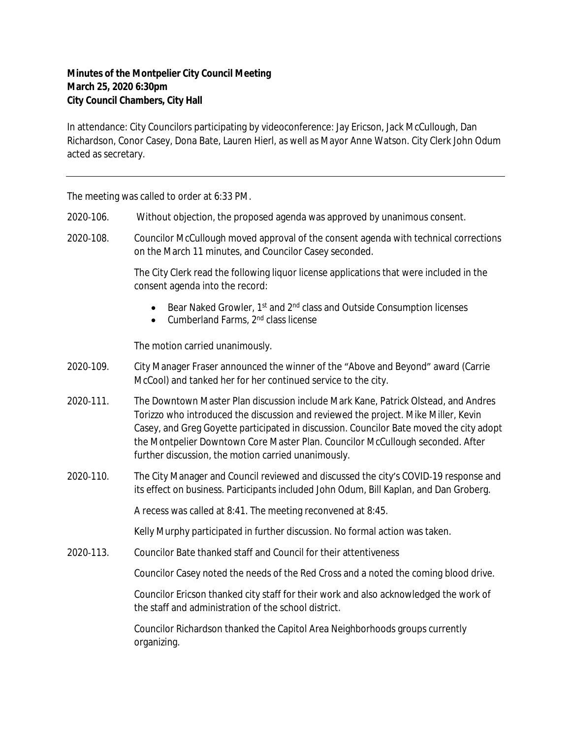## **Minutes of the Montpelier City Council Meeting March 25, 2020 6:30pm City Council Chambers, City Hall**

In attendance: City Councilors participating by videoconference: Jay Ericson, Jack McCullough, Dan Richardson, Conor Casey, Dona Bate, Lauren Hierl, as well as Mayor Anne Watson. City Clerk John Odum acted as secretary.

The meeting was called to order at 6:33 PM.

- 2020‐106. Without objection, the proposed agenda was approved by unanimous consent.
- 2020‐108. Councilor McCullough moved approval of the consent agenda with technical corrections on the March 11 minutes, and Councilor Casey seconded.

The City Clerk read the following liquor license applications that were included in the consent agenda into the record:

- Bear Naked Growler, 1<sup>st</sup> and 2<sup>nd</sup> class and Outside Consumption licenses
- $\bullet$  Cumberland Farms,  $2<sup>nd</sup>$  class license

The motion carried unanimously.

- 2020‐109. City Manager Fraser announced the winner of the "Above and Beyond" award (Carrie McCool) and tanked her for her continued service to the city.
- 2020‐111. The Downtown Master Plan discussion include Mark Kane, Patrick Olstead, and Andres Torizzo who introduced the discussion and reviewed the project. Mike Miller, Kevin Casey, and Greg Goyette participated in discussion. Councilor Bate moved the city adopt the Montpelier Downtown Core Master Plan. Councilor McCullough seconded. After further discussion, the motion carried unanimously.
- 2020-110. The City Manager and Council reviewed and discussed the city's COVID-19 response and its effect on business. Participants included John Odum, Bill Kaplan, and Dan Groberg.

A recess was called at 8:41. The meeting reconvened at 8:45.

Kelly Murphy participated in further discussion. No formal action was taken.

2020‐113. Councilor Bate thanked staff and Council for their attentiveness

Councilor Casey noted the needs of the Red Cross and a noted the coming blood drive.

Councilor Ericson thanked city staff for their work and also acknowledged the work of the staff and administration of the school district.

Councilor Richardson thanked the Capitol Area Neighborhoods groups currently organizing.